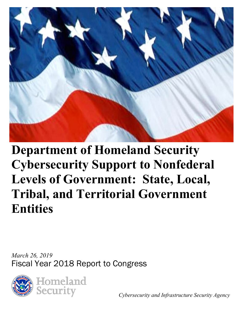

# **Department of Homeland Security Cybersecurity Support to Nonfederal Levels of Government: State, Local, Tribal, and Territorial Government Entities**

*March 26, 2019*  Fiscal Year 2018 Report to Congress



*Cybersecurity and Infrastructure Security Agency*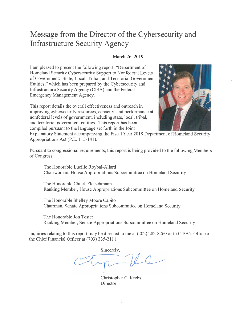### **Message from the Director of the Cybersecurity and Infrastructure Security Agency**

#### March 26, 2019

I am pleased to present the following report, "Department of Homeland Security Cybersecurity Support to Nonfederal Levels of Government: State, Local, Tribal, and Territorial Government Entities," which has been prepared by the Cybersecurity and Infrastructure Security Agency (CISA) and the Federal Emergency Management Agency.

This report details the overall effectiveness and outreach in improving cybersecurity resources, capacity, and performance at nonfederal levels of government, including state, local, tribal, and territorial government entities. This report has been compiled pursuant to the language set forth in the Joint



Explanatory Statement accompanying the Fiscal Year 2018 Department of Homeland Security Appropriations Act (P.L. 115-141).

Pursuant to congressional requirements, this report is being provided to the following Members of Congress:

The Honorable Lucille Roybal-Allard Chairwoman, House Appropriations Subcommittee on Homeland Security

The Honorable Chuck Fleischmann Ranking Member, House Appropriations Subcommittee on Homeland Security

The Honorable Shelley Moore Capito Chairman, Senate Appropriations Subcommittee on Homeland Security

The Honorable Jon Tester Ranking Member, Senate Appropriations Subcommittee on Homeland Security

Inquiries relating to this report may be directed to me at (202) 282-8260 or to CISA's Office of the Chief Financial Officer at (703) 235-2111.

Sincerely,

Christopher C. Krebs **Director**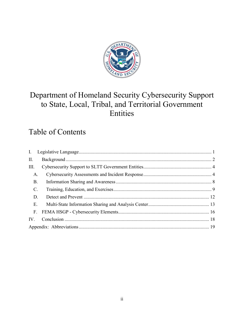

### Department of Homeland Security Cybersecurity Support to State, Local, Tribal, and Territorial Government Entities

### Table of Contents

| II.               |  |
|-------------------|--|
| III.              |  |
| A.                |  |
| <b>B.</b>         |  |
| $\mathbf{C}$ .    |  |
| D.                |  |
| E.                |  |
| F <sub>1</sub>    |  |
| $\mathbf{IV}_{-}$ |  |
|                   |  |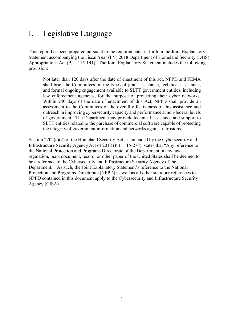### <span id="page-3-0"></span>I. Legislative Language

This report has been prepared pursuant to the requirements set forth in the Joint Explanatory Statement accompanying the Fiscal Year (FY) 2018 Department of Homeland Security (DHS) Appropriations Act (P.L. 115-141). The Joint Explanatory Statement includes the following provision:

Not later than 120 days after the date of enactment of this act, NPPD and FEMA shall brief the Committees on the types of grant assistance, technical assistance, and formal ongoing engagement available to SLTT government entities, including law enforcement agencies, for the purpose of protecting their cyber networks. Within 240 days of the date of enactment of this Act, NPPD shall provide an assessment to the Committees of the overall effectiveness of this assistance and outreach in improving cybersecurity capacity and performance at non-federal levels of government. The Department may provide technical assistance and support to SLTT entities related to the purchase of commercial software capable of protecting the integrity of government information and networks against intrusions.

Section 2202(a)(2) of the Homeland Security Act, as amended by the Cybersecurity and Infrastructure Security Agency Act of 2018 (P.L. 115-278), states that "Any reference to the National Protection and Programs Directorate of the Department in any law, regulation, map, document, record, or other paper of the United States shall be deemed to be a reference to the Cybersecurity and Infrastructure Security Agency of the Department." As such, the Joint Explanatory Statement's reference to the National Protection and Programs Directorate (NPPD) as well as all other statutory references to NPPD contained in this document apply to the Cybersecurity and Infrastructure Security Agency (CISA).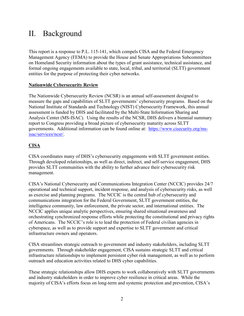### <span id="page-4-0"></span>II. Background

This report is a response to P.L. 115-141, which compels CISA and the Federal Emergency Management Agency (FEMA) to provide the House and Senate Appropriations Subcommittees on Homeland Security information about the types of grant assistance, technical assistance, and formal ongoing engagements available to state, local, tribal, and territorial (SLTT) government entities for the purpose of protecting their cyber networks.

#### **Nationwide Cybersecurity Review**

The Nationwide Cybersecurity Review (NCSR) is an annual self-assessment designed to measure the gaps and capabilities of SLTT governments' cybersecurity programs. Based on the National Institute of Standards and Technology (NIST) Cybersecurity Framework, this annual assessment is funded by DHS and facilitated by the Multi-State Information Sharing and Analysis Center (MS-ISAC). Using the results of the NCSR, DHS delivers a biennial summary report to Congress providing a broad picture of cybersecurity maturity across SLTT governments. Additional information can be found online at: [https://www.cisecurity.org/ms](https://www.cisecurity.org/ms-isac/services/ncsr/)[isac/services/ncsr/.](https://www.cisecurity.org/ms-isac/services/ncsr/)

#### **CISA**

CISA coordinates many of DHS's cybersecurity engagements with SLTT government entities. Through developed relationships, as well as direct, indirect, and self-service engagement, DHS provides SLTT communities with the ability to further advance their cybersecurity risk management.

CISA's National Cybersecurity and Communications Integration Center (NCCIC) provides 24/7 operational and technical support, incident response, and analysis of cybersecurity risks, as well as exercise and planning programs. The NCCIC is the central hub of cybersecurity and communications integration for the Federal Government, SLTT government entities, the intelligence community, law enforcement, the private sector, and international entities. The NCCIC applies unique analytic perspectives, ensuring shared situational awareness and orchestrating synchronized response efforts while protecting the constitutional and privacy rights of Americans. The NCCIC's role is to lead the protection of Federal civilian agencies in cyberspace, as well as to provide support and expertise to SLTT government and critical infrastructure owners and operators.

CISA streamlines strategic outreach to government and industry stakeholders, including SLTT governments. Through stakeholder engagement, CISA sustains strategic SLTT and critical infrastructure relationships to implement persistent cyber risk management, as well as to perform outreach and education activities related to DHS cyber capabilities.

These strategic relationships allow DHS experts to work collaboratively with SLTT governments and industry stakeholders in order to improve cyber resilience in critical areas. While the majority of CISA's efforts focus on long-term and systemic protection and prevention, CISA's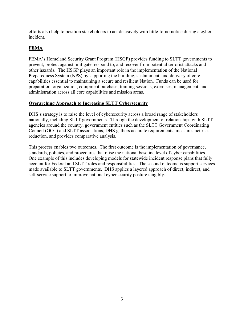efforts also help to position stakeholders to act decisively with little-to-no notice during a cyber incident.

#### **FEMA**

FEMA's Homeland Security Grant Program (HSGP) provides funding to SLTT governments to prevent, protect against, mitigate, respond to, and recover from potential terrorist attacks and other hazards. The HSGP plays an important role in the implementation of the National Preparedness System (NPS) by supporting the building, sustainment, and delivery of core capabilities essential to maintaining a secure and resilient Nation. Funds can be used for preparation, organization, equipment purchase, training sessions, exercises, management, and administration across all core capabilities and mission areas.

#### **Overarching Approach to Increasing SLTT Cybersecurity**

DHS's strategy is to raise the level of cybersecurity across a broad range of stakeholders nationally, including SLTT governments. Through the development of relationships with SLTT agencies around the country, government entities such as the SLTT Government Coordinating Council (GCC) and SLTT associations, DHS gathers accurate requirements, measures net risk reduction, and provides comparative analysis.

This process enables two outcomes. The first outcome is the implementation of governance, standards, policies, and procedures that raise the national baseline level of cyber capabilities. One example of this includes developing models for statewide incident response plans that fully account for Federal and SLTT roles and responsibilities. The second outcome is support services made available to SLTT governments. DHS applies a layered approach of direct, indirect, and self-service support to improve national cybersecurity posture tangibly.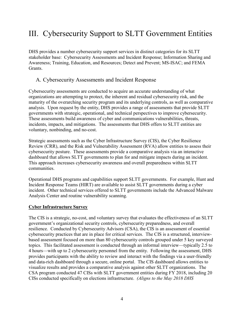### <span id="page-6-0"></span>III. Cybersecurity Support to SLTT Government Entities

DHS provides a number cybersecurity support services in distinct categories for its SLTT stakeholder base: Cybersecurity Assessments and Incident Response; Information Sharing and Awareness; Training, Education, and Resources; Detect and Prevent; MS-ISAC; and FEMA Grants.

#### <span id="page-6-1"></span>A. Cybersecurity Assessments and Incident Response

Cybersecurity assessments are conducted to acquire an accurate understanding of what organizations are attempting to protect, the inherent and residual cybersecurity risk, and the maturity of the overarching security program and its underlying controls, as well as comparative analysis. Upon request by the entity, DHS provides a range of assessments that provide SLTT governments with strategic, operational, and technical perspectives to improve cybersecurity. These assessments build awareness of cyber and communications vulnerabilities, threats, incidents, impacts, and mitigations. The assessments that DHS offers to SLTT entities are voluntary, nonbinding, and no-cost.

Strategic assessments such as the Cyber Infrastructure Survey (CIS), the Cyber Resilience Review (CRR), and the Risk and Vulnerability Assessment (RVA) allow entities to assess their cybersecurity posture. These assessments provide a comparative analysis via an interactive dashboard that allows SLTT governments to plan for and mitigate impacts during an incident. This approach increases cybersecurity awareness and overall preparedness within SLTT communities.

Operational DHS programs and capabilities support SLTT governments. For example, Hunt and Incident Response Teams (HIRT) are available to assist SLTT governments during a cyber incident. Other technical services offered to SLTT governments include the Advanced Malware Analysis Center and routine vulnerability scanning.

#### **Cyber Infrastructure Survey**

The CIS is a strategic, no-cost, and voluntary survey that evaluates the effectiveness of an SLTT government's organizational security controls, cybersecurity preparedness, and overall resilience. Conducted by Cybersecurity Advisors (CSA), the CIS is an assessment of essential cybersecurity practices that are in place for critical services. The CIS is a structured, interviewbased assessment focused on more than 80 cybersecurity controls grouped under 5 key surveyed topics. This facilitated assessment is conducted through an informal interview—typically 2.5 to 4 hours—with up to 2 cybersecurity personnel from the entity. Following the assessment, DHS provides participants with the ability to review and interact with the findings via a user-friendly and data-rich dashboard through a secure, online portal. The CIS dashboard allows entities to visualize results and provides a comparative analysis against other SLTT organizations. The CSA program conducted 47 CISs with SLTT government entities during FY 2018, including 20 CISs conducted specifically on elections infrastructure. *(Aligns to the May 2018 DHS*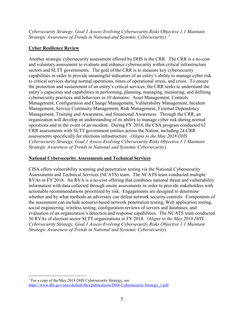*Cybersecurity Strategy, Goal 1 Assess Evolving Cybersecurity Risks Objective 1.1 Maintain Strategic Awareness of Trends in National and Systemic Cybersecurity)*. *[1](#page-7-0)*

#### **Cyber Resilience Review**

Another strategic cybersecurity assessment offered by DHS is the CRR. The CRR is a no-cost and voluntary assessment to evaluate and enhance cybersecurity within critical infrastructure sectors and SLTT governments. The goal of the CRR is to measure key cybersecurity capabilities in order to provide meaningful indicators of an entity's ability to manage cyber risk to critical services during normal operations, times of operational stress, and crisis. To ensure the protection and sustainment of an entity's critical services, the CRR seeks to understand the entity's capacities and capabilities in performing, planning, managing, measuring, and defining cybersecurity practices and behaviors in 10 domains: Asset Management, Controls Management, Configuration and Change Management, Vulnerability Management, Incident Management, Service Continuity Management, Risk Management, External Dependency Management, Training and Awareness, and Situational Awareness. Through the CRR, an organization will develop an understanding of its ability to manage cyber risk during normal operations and in the event of an incident. During FY 2018, the CSA program conducted 62 CRR assessments with SLTT government entities across the Nation, including 24 CRR assessments specifically for elections infrastructure.*(Aligns to the May 2018 DHS Cybersecurity Strategy, Goal 1 Assess Evolving Cybersecurity Risks Objective 1.1 Maintain Strategic Awareness of Trends in National and Systemic Cybersecurity).*

#### **National Cybersecurity Assessments and Technical Services**

CISA offers vulnerability scanning and penetration testing via the National Cybersecurity Assessments and Technical Services (NCATS) team. The NCATS team conducted multiple RVAs in FY 2018. An RVA is a no-cost offering that combines national threat and vulnerability information with data collected through onsite assessments in order to provide stakeholders with actionable recommendations prioritized by risk. Engagements are designed to determine whether and by what methods an adversary can defeat network security controls. Components of the assessment can include scenario-based network penetration testing, Web application testing, social engineering, wireless testing, configuration reviews of servers and databases, and evaluation of an organization's detection and response capabilities. The NCATS team conducted 36 RVAs of election sector SLTT organizations in FY 2018. *(Aligns to the May 2018 DHS Cybersecurity Strategy, Goal 1 Assess Evolving Cybersecurity Risks Objective 1.1 Maintain Strategic Awareness of Trends in National and Systemic Cybersecurity).*

<span id="page-7-0"></span> $\overline{a}$ <sup>1</sup> For a copy of the May 2018 DHS Cybersecurity Strategy, see: [https://www.dhs.gov/sites/default/files/publications/DHS-Cybersecurity-Strategy\\_1.pdf.](https://www.dhs.gov/sites/default/files/publications/DHS-Cybersecurity-Strategy_1.pdf)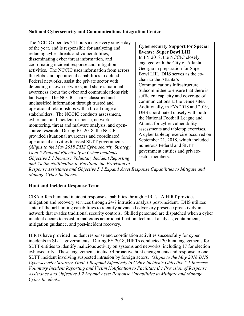#### **National Cybersecurity and Communications Integration Center**

The NCCIC operates 24 hours a day every single day of the year, and is responsible for analyzing and reducing cyber threats and vulnerabilities, disseminating cyber threat information, and coordinating incident response and mitigation activities. The NCCIC uses information from across the globe and operational capabilities to defend Federal networks, assist the private sector with defending its own networks, and share situational awareness about the cyber and communications risk landscape. The NCCIC shares classified and unclassified information through trusted and operational relationships with a broad range of stakeholders. The NCCIC conducts assessment, cyber hunt and incident response, network monitoring, threat and malware analysis, and opensource research. During FY 2018, the NCCIC provided situational awareness and coordinated operational activities to assist SLTT governments. *(Aligns to the May 2018 DHS Cybersecurity Strategy, Goal 5 Respond Effectively to Cyber Incidents Objective 5.1 Increase Voluntary Incident Reporting and Victim Notification to Facilitate the Provision of* 

**Cybersecurity Support for Special Events: Super Bowl LIII** In FY 2018, the NCCIC closely engaged with the City of Atlanta, Georgia in preparation for Super Bowl LIII. DHS serves as the cochair to the Atlanta's Communications Infrastructure Subcommittee to ensure that there is sufficient capacity and coverage of communications at the venue sites. Additionally, in FYs 2018 and 2019, DHS coordinated closely with both the National Football League and Atlanta for cyber vulnerability assessments and tabletop exercises. A cyber tabletop exercise occurred on September 21, 2018, which included numerous Federal and SLTT government entities and privatesector members.

*Response Assistance and Objective 5.2 Expand Asset Response Capabilities to Mitigate and Manage Cyber Incidents).* 

#### **Hunt and Incident Response Team**

CISA offers hunt and incident response capabilities through HIRTs. A HIRT provides mitigation and recovery services through 24/7 intrusion analysis post-incident. DHS utilizes state-of-the-art hunting capabilities to identify advanced adversary presence proactively in a network that evades traditional security controls. Skilled personnel are dispatched when a cyber incident occurs to assist in malicious actor identification, technical analysis, containment, mitigation guidance, and post-incident recovery.

HIRTs have provided incident response and coordination activities successfully for cyber incidents in SLTT governments. During FY 2018, HIRTs conducted 20 hunt engagements for SLTT entities to identify malicious activity on systems and networks, including 17 for election cybersecurity. These engagements include 4 proactive hunt engagements and response to one SLTT incident involving suspected intrusion by foreign actors.*(Aligns to the May 2018 DHS Cybersecurity Strategy, Goal 5 Respond Effectively to Cyber Incidents Objective 5.1 Increase Voluntary Incident Reporting and Victim Notification to Facilitate the Provision of Response Assistance and Objective 5.2 Expand Asset Response Capabilities to Mitigate and Manage Cyber Incidents).*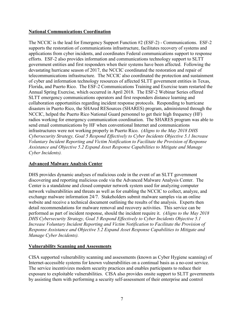#### **National Communications Coordination**

The NCCIC is the lead for Emergency Support Function #2 (ESF-2) - Communications. ESF-2 supports the restoration of communications infrastructure, facilitates recovery of systems and applications from cyber incidents, and coordinates Federal communications support to response efforts. ESF-2 also provides information and communications technology support to SLTT government entities and first responders when their systems have been affected. Following the devastating hurricane season of 2017, the NCCIC coordinated the restoration and repair of telecommunications infrastructure. The NCCIC also coordinated the protection and sustainment of cyber and information technology resources of affected SLTT government entities in Texas, Florida, and Puerto Rico. The ESF-2 Communications Training and Exercise team restarted the Annual Spring Exercise, which occurred in April 2018. The ESF-2 Webinar Series offered SLTT emergency communications operators and first responders distance learning and collaboration opportunities regarding incident response protocols. Responding to hurricane disasters in Puerto Rico, the SHAred RESources (SHARES) program, administered through the NCCIC, helped the Puerto Rico National Guard personnel to get their high frequency (HF) radios working for emergency communication coordination. The SHARES program was able to send email communications by HF when conventional Internet and communications infrastructures were not working properly in Puerto Rico. *(Aligns to the May 2018 DHS Cybersecurity Strategy, Goal 5 Respond Effectively to Cyber Incidents Objective 5.1 Increase Voluntary Incident Reporting and Victim Notification to Facilitate the Provision of Response Assistance and Objective 5.2 Expand Asset Response Capabilities to Mitigate and Manage Cyber Incidents).* 

#### **Advanced Malware Analysis Center**

DHS provides dynamic analyses of malicious code in the event of an SLTT government discovering and reporting malicious code via the Advanced Malware Analysis Center. The Center is a standalone and closed computer network system used for analyzing computer network vulnerabilities and threats as well as for enabling the NCCIC to collect, analyze, and exchange malware information 24/7. Stakeholders submit malware samples via an online website and receive a technical document outlining the results of the analysis. Experts then detail recommendations for malware removal and recovery activities. This service can be performed as part of incident response, should the incident require it. *(Aligns to the May 2018 DHS Cybersecurity Strategy, Goal 5 Respond Effectively to Cyber Incidents Objective 5.1 Increase Voluntary Incident Reporting and Victim Notification to Facilitate the Provision of Response Assistance and Objective 5.2 Expand Asset Response Capabilities to Mitigate and Manage Cyber Incidents).*

#### **Vulnerability Scanning and Assessments**

CISA supported vulnerability scanning and assessments (known as Cyber Hygiene scanning) of Internet-accessible systems for known vulnerabilities on a continual basis as a no-cost service. The service incentivizes modern security practices and enables participants to reduce their exposure to exploitable vulnerabilities. CISA also provides onsite support to SLTT governments by assisting them with performing a security self-assessment of their enterprise and control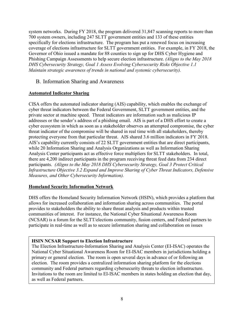system networks. During FY 2018, the program delivered 31,847 scanning reports to more than 700 system owners, including 247 SLTT government entities and 133 of these entities specifically for elections infrastructure. The program has put a renewed focus on increasing coverage of elections infrastructure for SLTT government entities. For example, in FY 2018, the Governor of Ohio issued a mandate for 88 counties to sign up for DHS Cyber Hygiene and Phishing Campaign Assessments to help secure election infrastructure. *(Aligns to the May 2018 DHS Cybersecurity Strategy, Goal 1 Assess Evolving Cybersecurity Risks Objective 1.1 Maintain strategic awareness of trends in national and systemic cybersecurity).* 

#### <span id="page-10-0"></span>B. Information Sharing and Awareness

#### **Automated Indicator Sharing**

CISA offers the automated indicator sharing (AIS) capability, which enables the exchange of cyber threat indicators between the Federal Government, SLTT government entities, and the private sector at machine speed. Threat indicators are information such as malicious IP addresses or the sender's address of a phishing email. AIS is part of a DHS effort to create a cyber ecosystem in which as soon as a stakeholder observes an attempted compromise, the cyber threat indicator of the compromise will be shared in real time with all stakeholders, thereby protecting everyone from that particular threat. AIS shared 3.6 million indicators in FY 2018. AIS's capability currently consists of 22 SLTT government entities that are direct participants, while 20 Information Sharing and Analysis Organizations as well as Information Sharing Analysis Center participants act as effective force multipliers for SLTT stakeholders. In total, there are 4,200 indirect participants in the program receiving threat feed data from 234 direct participants. *(Aligns to the May 2018 DHS Cybersecurity Strategy, Goal 3 Protect Critical Infrastructure Objective 3.2 Expand and Improve Sharing of Cyber Threat Indicators, Defensive Measures, and Other Cybersecurity Information).* 

#### **Homeland Security Information Network**

DHS offers the Homeland Security Information Network (HSIN), which provides a platform that allows for increased collaboration and information sharing across communities. The portal provides to stakeholders the ability to share threat analysis and products within trusted communities of interest. For instance, the National Cyber Situational Awareness Room (NCSAR) is a forum for the SLTT/elections community, fusion centers, and Federal partners to participate in real-time as well as to secure information sharing and collaboration on issues

#### **HSIN NCSAR Support to Election Infrastructure**

The Election Infrastructure-Information Sharing and Analysis Center (EI-ISAC) operates the National Cyber Situational Awareness Room for EI-ISAC members in jurisdictions holding a primary or general election. The room is open several days in advance of or following an election. The room provides a centralized information sharing platform for the elections community and Federal partners regarding cybersecurity threats to election infrastructure. Invitations to the room are limited to EI-ISAC members in states holding an election that day, as well as Federal partners.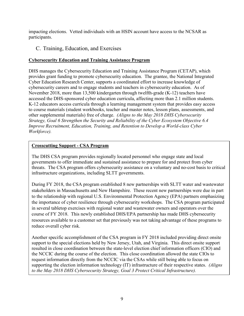impacting elections. Vetted individuals with an HSIN account have access to the NCSAR as participants.

#### <span id="page-11-0"></span>C. Training, Education, and Exercises

#### **Cybersecurity Education and Training Assistance Program**

DHS manages the Cybersecurity Education and Training Assistance Program (CETAP), which provides grant funding to promote cybersecurity education. The grantee, the National Integrated Cyber Education Research Center, supports a coordinated effort to increase knowledge of cybersecurity careers and to engage students and teachers in cybersecurity education. As of November 2018, more than 13,500 kindergarten through twelfth-grade (K-12) teachers have accessed the DHS-sponsored cyber education curricula, affecting more than 2.1 million students. K-12 educators access curricula through a learning management system that provides easy access to course materials (student workbooks, teacher and master notes, lesson plans, assessments, and other supplemental materials) free of charge. *(Aligns to the May 2018 DHS Cybersecurity Strategy, Goal 6 Strengthen the Security and Reliability of the Cyber Ecosystem Objective 6.4 Improve Recruitment, Education, Training, and Retention to Develop a World-class Cyber Workforce).* 

#### **Crosscutting Support - CSA Program**

The DHS CSA program provides regionally located personnel who engage state and local governments to offer immediate and sustained assistance to prepare for and protect from cyber threats. The CSA program offers cybersecurity assistance on a voluntary and no-cost basis to critical infrastructure organizations, including SLTT governments.

During FY 2018, the CSA program established 8 new partnerships with SLTT water and wastewater stakeholders in Massachusetts and New Hampshire. These recent new partnerships were due in part to the relationship with regional U.S. Environmental Protection Agency (EPA) partners emphasizing the importance of cyber resilience through cybersecurity workshops. The CSA program participated in several tabletop exercises with regional water and wastewater owners and operators over the course of FY 2018. This newly established DHS/EPA partnership has made DHS cybersecurity resources available to a customer set that previously was not taking advantage of these programs to reduce overall cyber risk.

Another specific accomplishment of the CSA program in FY 2018 included providing direct onsite support to the special elections held by New Jersey, Utah, and Virginia. This direct onsite support resulted in close coordination between the state-level election chief information officers (CIO) and the NCCIC during the course of the election. This close coordination allowed the state CIOs to request information directly from the NCCIC via the CSAs while still being able to focus on supporting the election information technology (IT) infrastructure of their respective states. *(Aligns to the May 2018 DHS Cybersecurity Strategy, Goal 3 Protect Critical Infrastructure).*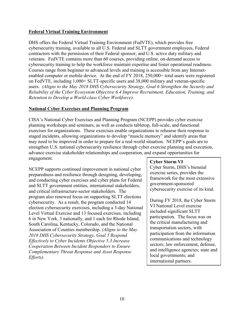#### **Federal Virtual Training Environment**

DHS offers the Federal Virtual Training Environment (FedVTE), which provides free cybersecurity training, available to all U.S. Federal and SLTT government employees, Federal contractors with the permission of their Federal sponsor, and U.S. active duty military and veterans. FedVTE contains more than 60 courses, providing online, on-demand access to cybersecurity training to help the workforce maintain expertise and foster operational readiness. Courses range from beginner to advanced levels and training is accessible from any Internetenabled computer or mobile device. At the end of FY 2018, 250,000+ total users were registered on FedVTE, including 1,000+ SLTT-specific users and 38,000 military and veteran-specific users. *(Aligns to the May 2018 DHS Cybersecurity Strategy, Goal 6 Strengthen the Security and Reliability of the Cyber Ecosystem Objective 6.4 Improve Recruitment, Education, Training, and Retention to Develop a World-class Cyber Workforce).* 

#### **National Cyber Exercises and Planning Program**

CISA's National Cyber Exercises and Planning Program (NCEPP) provides cyber exercise planning workshops and seminars, as well as conducts tabletop, full-scale, and functional exercises for organizations. These exercises enable organizations to rehearse their response to staged incidents, allowing organizations to develop "muscle memory" and identify areas that may need to be improved in order to prepare for a real-world situation. NCEPP's goals are to strengthen U.S. national cybersecurity resilience through cyber exercise planning and execution, advance exercise stakeholder relationships and cooperation, and expand opportunities for engagement.

NCEPP supports continued improvement in national cyber preparedness and resilience through designing, developing, and conducting cyber exercises and cyber plans for Federal and SLTT government entities, international stakeholders, and critical infrastructure-sector stakeholders. The program also renewed focus on supporting SLTT elections cybersecurity. As a result, the program conducted 14 election cybersecurity exercises, including a 3-day National Level Virtual Exercise and 13 focused exercises, including 6 in New York, 3 nationally, and 1 each for Rhode Island, South Carolina, Kentucky, Colorado, and the National Association of Counties membership. *(Aligns to the May 2018 DHS Cybersecurity Strategy, Goal 5 Respond Effectively to Cyber Incidents Objective 5.3 Increase Cooperation Between Incident Responders to Ensure Complementary Threat Response and Asset Response Efforts).*

#### **Cyber Storm VI**

Cyber Storm, DHS's biennial exercise series, provides the framework for the most extensive government-sponsored cybersecurity exercise of its kind.

During FY 2018, the Cyber Storm VI National Level exercise included significant SLTT participation. The focus was on the critical manufacturing and transportation sectors, with participation from the information communications and technology sectors; law enforcement, defense, and intelligence agencies; state and local governments; and international partners.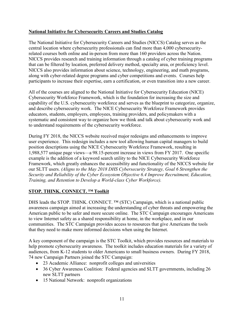#### **National Initiative for Cybersecurity Careers and Studies Catalog**

The National Initiative for Cybersecurity Careers and Studies (NICCS) Catalog serves as the central location where cybersecurity professionals can find more than 4,000 cybersecurityrelated courses both online and in-person from more than 160 providers across the Nation. NICCS provides research and training information through a catalog of cyber training programs that can be filtered by location, preferred delivery method, specialty area, or proficiency level. NICCS also provides information about science, technology, engineering, and math programs, along with cyber-related degree programs and cyber competitions and events. Courses help participants to increase their expertise, earn a certification, or even transition into a new career.

All of the courses are aligned to the National Initiative for Cybersecurity Education (NICE) Cybersecurity Workforce Framework, which is the foundation for increasing the size and capability of the U.S. cybersecurity workforce and serves as the blueprint to categorize, organize, and describe cybersecurity work. The NICE Cybersecurity Workforce Framework provides educators, students, employers, employees, training providers, and policymakers with a systematic and consistent way to organize how we think and talk about cybersecurity work and to understand requirements of the cybersecurity workforce.

During FY 2018, the NICCS website received major redesigns and enhancements to improve user experience. This redesign includes a new tool allowing human capital managers to build position descriptions using the NICE Cybersecurity Workforce Framework, resulting in 1,988,577 unique page views—a 98.15-percent increase in views from FY 2017. One specific example is the addition of a keyword search utility to the NICE Cybersecurity Workforce Framework, which greatly enhances the accessibility and functionality of the NICCS website for our SLTT users. *(Aligns to the May 2018 DHS Cybersecurity Strategy, Goal 6 Strengthen the Security and Reliability of the Cyber Ecosystem Objective 6.4 Improve Recruitment, Education, Training, and Retention to Develop a World-class Cyber Workforce).*

#### **STOP. THINK. CONNECT. ™ Toolkit**

DHS leads the STOP. THINK. CONNECT. ™ (STC) Campaign, which is a national public awareness campaign aimed at increasing the understanding of cyber threats and empowering the American public to be safer and more secure online. The STC Campaign encourages Americans to view Internet safety as a shared responsibility at home, in the workplace, and in our communities. The STC Campaign provides access to resources that give Americans the tools that they need to make more informed decisions when using the Internet.

A key component of the campaign is the STC Toolkit, which provides resources and materials to help promote cybersecurity awareness. The toolkit includes education materials for a variety of audiences, from K-12 students to older Americans to small business owners. During FY 2018, 74 new Campaign Partners joined the STC Campaign:

- 23 Academic Alliance: nonprofit colleges and universities
- 36 Cyber Awareness Coalition: Federal agencies and SLTT governments, including 26 new SLTT partners
- 15 National Network: nonprofit organizations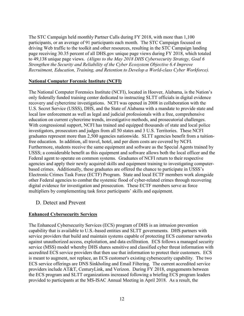The STC Campaign held monthly Partner Calls during FY 2018, with more than 1,100 participants, or an average of 91 participants each month. The STC Campaign focused on driving Web traffic to the toolkit and other resources, resulting in the STC Campaign landing page receiving 30.35 percent of all DHS.gov unique page views during FY 2018, which totaled to 49,138 unique page views. *(Aligns to the May 2018 DHS Cybersecurity Strategy, Goal 6 Strengthen the Security and Reliability of the Cyber Ecosystem Objective 6.4 Improve Recruitment, Education, Training, and Retention to Develop a World-class Cyber Workforce).* 

#### **National Computer Forensic Institute (NCFI)**

The National Computer Forensics Institute (NCFI), located in Hoover, Alabama, is the Nation's only federally funded training center dedicated to instructing SLTT officials in digital evidence recovery and cybercrime investigations. NCFI was opened in 2008 in collaboration with the U.S. Secret Service (USSS), DHS, and the State of Alabama with a mandate to provide state and local law enforcement as well as legal and judicial professionals with a free, comprehensive education on current cybercrime trends, investigative methods, and prosecutorial challenges. With congressional support, NCFI has trained and equipped thousands of state and local police investigators, prosecutors and judges from all 50 states and 3 U.S. Territories. These NCFI graduates represent more than 2,500 agencies nationwide. SLTT agencies benefit from a tuitionfree education. In addition, all travel, hotel, and per diem costs are covered by NCFI. Furthermore, students receive the same equipment and software as the Special Agents trained by USSS; a considerable benefit as this equipment and software allows both the local officer and the Federal agent to operate on common systems. Graduates of NCFI return to their respective agencies and apply their newly acquired skills and equipment training to investigating computerbased crimes. Additionally, these graduates are offered the chance to participate in USSS's Electronic Crimes Task Force (ECTF) Program. State and local ECTF members work alongside other Federal agencies to combat the systemic flood of cyber-related crimes through recovering digital evidence for investigation and prosecution. These ECTF members serve as force multipliers by complementing task force participants' skills and equipment*.* 

#### <span id="page-14-0"></span>D. Detect and Prevent

#### **Enhanced Cybersecurity Services**

The Enhanced Cybersecurity Services (ECS) program of DHS is an intrusion prevention capability that is available to U.S.-based entities and SLTT governments. DHS partners with service providers that build and maintain systems capable of protecting ECS customer networks against unauthorized access, exploitation, and data exfiltration. ECS follows a managed security service (MSS) model whereby DHS shares sensitive and classified cyber threat information with accredited ECS service providers that then use that information to protect their customers. ECS is meant to augment, not replace, an ECS customer's existing cybersecurity capability. The two ECS service offerings are DNS Sinkholing and Email Filtering. The current accredited service providers include AT&T, CenturyLink, and Verizon. During FY 2018, engagements between the ECS program and SLTT organizations increased following a briefing ECS program leaders provided to participants at the MS-ISAC Annual Meeting in April 2018. As a result, the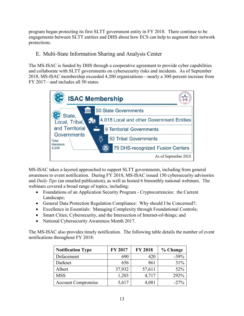program began protecting its first SLTT government entity in FY 2018. There continue to be engagements between SLTT entities and DHS about how ECS can help to augment their network protections.

#### <span id="page-15-0"></span>E. Multi-State Information Sharing and Analysis Center

The MS-ISAC is funded by DHS through a cooperative agreement to provide cyber capabilities and collaborate with SLTT governments on cybersecurity risks and incidents. As of September 2018, MS-ISAC membership exceeded 4,200 organizations—nearly a 300-percent increase from FY 2017—and includes all 50 states.



MS-ISAC takes a layered approached to support SLTT governments, including from general awareness to event notification. During FY 2018, MS-ISAC issued 150 cybersecurity advisories and *Daily Tips* (an emailed publication), as well as hosted 6 bimonthly national webinars. The webinars covered a broad range of topics, including:

- Foundations of an Application Security Program Cryptocurrencies: the Current Landscape;
- General Data Protection Regulation Compliance: Why should I be Concerned?;
- Excellence in Essentials: Managing Complexity through Foundational Controls;
- Smart Cities; Cybersecurity, and the Intersection of Internet-of-things; and
- National Cybersecurity Awareness Month 2017.

The MS-ISAC also provides timely notification. The following table details the number of event notifications throughout FY 2018:

| <b>Notification Type</b>  | FY 2017 | <b>FY 2018</b> | % Change |
|---------------------------|---------|----------------|----------|
| Defacement                | 690     | 420            | $-39%$   |
| Darknet                   | 656     | 861            | 31%      |
| Albert                    | 37,932  | 57,611         | 52%      |
| <b>MSS</b>                | 1,203   | 4,717          | 292%     |
| <b>Account Compromise</b> | 5,617   | 4,081          | $-27%$   |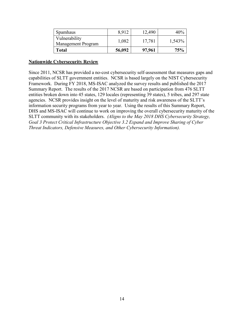| Spamhaus                            | 8,912  | 12,490 | 40%    |
|-------------------------------------|--------|--------|--------|
| Vulnerability<br>Management Program | 1,082  | 17,781 | 1,543% |
| <b>Total</b>                        | 56,092 | 97,961 | 75%    |

#### **Nationwide Cybersecurity Review**

Since 2011, NCSR has provided a no-cost cybersecurity self-assessment that measures gaps and capabilities of SLTT government entities. NCSR is based largely on the NIST Cybersecurity Framework. During FY 2018, MS-ISAC analyzed the survey results and published the 2017 Summary Report. The results of the 2017 NCSR are based on participation from 476 SLTT entities broken down into 45 states, 129 locales (representing 39 states), 5 tribes, and 297 state agencies.NCSR provides insight on the level of maturity and risk awareness of the SLTT's information security programs from year to year. Using the results of this Summary Report, DHS and MS-ISAC will continue to work on improving the overall cybersecurity maturity of the SLTT community with its stakeholders. *(Aligns to the May 2018 DHS Cybersecurity Strategy, Goal 3 Protect Critical Infrastructure Objective 3.2 Expand and Improve Sharing of Cyber Threat Indicators, Defensive Measures, and Other Cybersecurity Information).*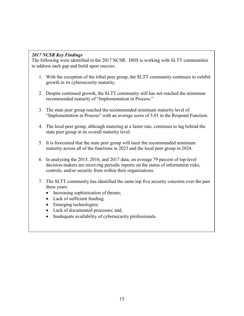#### *2017 NCSR Key Findings*

The following were identified in the 2017 NCSR. DHS is working with SLTT communities to address each gap and build upon success.

- 1. With the exception of the tribal peer group, the SLTT community continues to exhibit growth in its cybersecurity maturity.
- 2. Despite continued growth, the SLTT community still has not reached the minimum recommended maturity of "Implementation in Process."
- 3. The state peer group reached the recommended minimum maturity level of "Implementation in Process" with an average score of 5.01 in the Respond Function.
- 4. The local peer group, although maturing at a faster rate, continues to lag behind the state peer group in its overall maturity level.
- 5. It is forecasted that the state peer group will meet the recommended minimum maturity across all of the functions in 2023 and the local peer group in 2024.
- 6. In analyzing the 2015, 2016, and 2017 data, on average 79 percent of top-level decision-makers are receiving periodic reports on the status of information risks, controls, and/or security from within their organizations.
- 7. The SLTT community has identified the same top five security concerns over the past three years:
	- Increasing sophistication of threats;
	- Lack of sufficient funding;
	- Emerging technologies;
	- Lack of documented processes; and,
	- Inadequate availability of cybersecurity professionals.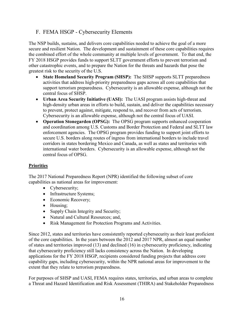#### <span id="page-18-0"></span>F. FEMA HSGP - Cybersecurity Elements

The NSP builds, sustains, and delivers core capabilities needed to achieve the goal of a more secure and resilient Nation. The development and sustainment of these core capabilities requires the combined effort of the whole community at multiple levels of government. To that end, the FY 2018 HSGP provides funds to support SLTT government efforts to prevent terrorism and other catastrophic events, and to prepare the Nation for the threats and hazards that pose the greatest risk to the security of the U.S.

- **State Homeland Security Program (SHSP):** The SHSP supports SLTT preparedness activities that address high-priority preparedness gaps across all core capabilities that support terrorism preparedness. Cybersecurity is an allowable expense, although not the central focus of SHSP.
- **Urban Area Security Initiative (UASI):** The UASI program assists high-threat and high-density urban areas in efforts to build, sustain, and deliver the capabilities necessary to prevent, protect against, mitigate, respond to, and recover from acts of terrorism. Cybersecurity is an allowable expense, although not the central focus of UASI.
- **Operation Stonegarden (OPSG):** The OPSG program supports enhanced cooperation and coordination among U.S. Customs and Border Protection and Federal and SLTT law enforcement agencies. The OPSG program provides funding to support joint efforts to secure U.S. borders along routes of ingress from international borders to include travel corridors in states bordering Mexico and Canada, as well as states and territories with international water borders. Cybersecurity is an allowable expense, although not the central focus of OPSG.

#### **Priorities**

The 2017 National Preparedness Report (NPR) identified the following subset of core capabilities as national areas for improvement:

- Cybersecurity;
- Infrastructure Systems;
- Economic Recovery;
- Housing;
- Supply Chain Integrity and Security;
- Natural and Cultural Resources; and,
- Risk Management for Protection Programs and Activities.

Since 2012, states and territories have consistently reported cybersecurity as their least proficient of the core capabilities. In the years between the 2012 and 2017 NPR, almost an equal number of states and territories improved (13) and declined (16) in cybersecurity proficiency, indicating that cybersecurity proficiency still lacks consistency across the Nation. In developing applications for the FY 2018 HSGP, recipients considered funding projects that address core capability gaps, including cybersecurity, within the NPR national areas for improvement to the extent that they relate to terrorism preparedness.

For purposes of SHSP and UASI, FEMA requires states, territories, and urban areas to complete a Threat and Hazard Identification and Risk Assessment (THIRA) and Stakeholder Preparedness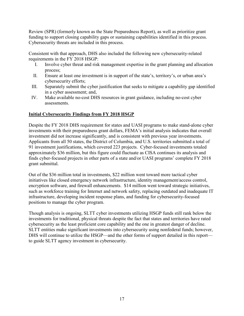Review (SPR) (formerly known as the State Preparedness Report), as well as prioritize grant funding to support closing capability gaps or sustaining capabilities identified in this process. Cybersecurity threats are included in this process.

Consistent with that approach, DHS also included the following new cybersecurity-related requirements in the FY 2018 HSGP:

- I. Involve cyber threat and risk management expertise in the grant planning and allocation process;
- II. Ensure at least one investment is in support of the state's, territory's, or urban area's cybersecurity efforts;
- III. Separately submit the cyber justification that seeks to mitigate a capability gap identified in a cyber assessment; and,
- IV. Make available no-cost DHS resources in grant guidance, including no-cost cyber assessments.

#### **Initial Cybersecurity Findings from FY 2018 HSGP**

Despite the FY 2018 DHS requirement for states and UASI programs to make stand-alone cyber investments with their preparedness grant dollars, FEMA's initial analysis indicates that overall investment did not increase significantly, and is consistent with previous year investments. Applicants from all 50 states, the District of Columbia, and U.S. territories submitted a total of 91 investment justifications, which covered 223 projects. Cyber-focused investments totaled approximately \$36 million, but this figure could fluctuate as CISA continues its analysis and finds cyber-focused projects in other parts of a state and/or UASI programs' complete FY 2018 grant submittal.

Out of the \$36 million total in investments, \$22 million went toward more tactical cyber initiatives like closed emergency network infrastructure, identity management/access control, encryption software, and firewall enhancements. \$14 million went toward strategic initiatives, such as workforce training for Internet and network safety, replacing outdated and inadequate IT infrastructure, developing incident response plans, and funding for cybersecurity-focused positions to manage the cyber program.

Though analysis is ongoing, SLTT cyber investments utilizing HSGP funds still rank below the investments for traditional, physical threats despite the fact that states and territories have rated cybersecurity as the least proficient core capability and the one in greatest danger of decline. SLTT entities make significant investments into cybersecurity using nonfederal funds; however, DHS will continue to utilize the HSGP—and the other forms of support detailed in this report to guide SLTT agency investment in cybersecurity.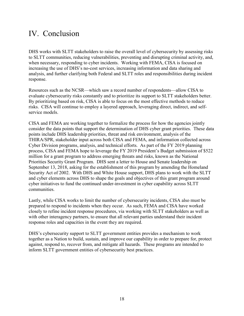### <span id="page-20-0"></span>IV. Conclusion

DHS works with SLTT stakeholders to raise the overall level of cybersecurity by assessing risks to SLTT communities, reducing vulnerabilities, preventing and disrupting criminal activity, and, when necessary, responding to cyber incidents. Working with FEMA, CISA is focused on increasing the use of DHS's no-cost services, increasing information and data sharing and analysis, and further clarifying both Federal and SLTT roles and responsibilities during incident response.

Resources such as the NCSR—which saw a record number of respondents—allow CISA to evaluate cybersecurity risks constantly and to prioritize its support to SLTT stakeholders better. By prioritizing based on risk, CISA is able to focus on the most effective methods to reduce risks. CISA will continue to employ a layered approach, leveraging direct, indirect, and selfservice models.

CISA and FEMA are working together to formalize the process for how the agencies jointly consider the data points that support the determination of DHS cyber grant priorities. These data points include DHS leadership priorities, threat and risk environment, analysis of the THIRA/SPR, stakeholder input across both CISA and FEMA, and information collected across Cyber Division programs, analysis, and technical efforts. As part of the FY 2019 planning process, CISA and FEMA hope to leverage the FY 2019 President's Budget submission of \$522 million for a grant program to address emerging threats and risks, known as the National Priorities Security Grant Program. DHS sent a letter to House and Senate leadership on September 13, 2018, asking for the establishment of this program by amending the Homeland Security Act of 2002. With DHS and White House support, DHS plans to work with the SLTT and cyber elements across DHS to shape the goals and objectives of this grant program around cyber initiatives to fund the continued under-investment in cyber capability across SLTT communities.

Lastly, while CISA works to limit the number of cybersecurity incidents, CISA also must be prepared to respond to incidents when they occur. As such, FEMA and CISA have worked closely to refine incident response procedures, via working with SLTT stakeholders as well as with other interagency partners, to ensure that all relevant parties understand their incident response roles and capacities in the event they are required.

DHS's cybersecurity support to SLTT government entities provides a mechanism to work together as a Nation to build, sustain, and improve our capability in order to prepare for, protect against, respond to, recover from, and mitigate all hazards. These programs are intended to inform SLTT government entities of cybersecurity best practices.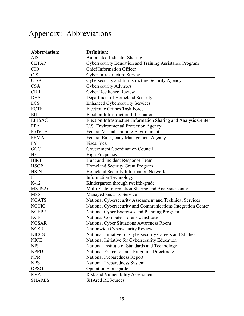## <span id="page-21-0"></span>Appendix: Abbreviations

| <b>Abbreviation:</b> | <b>Definition:</b>                                              |
|----------------------|-----------------------------------------------------------------|
| <b>AIS</b>           | <b>Automated Indicator Sharing</b>                              |
| <b>CETAP</b>         | Cybersecurity Education and Training Assistance Program         |
| <b>CIO</b>           | <b>Chief Information Officer</b>                                |
| <b>CIS</b>           | Cyber Infrastructure Survey                                     |
| <b>CISA</b>          | Cybersecurity and Infrastructure Security Agency                |
| <b>CSA</b>           | <b>Cybersecurity Advisors</b>                                   |
| <b>CRR</b>           | <b>Cyber Resilience Review</b>                                  |
| <b>DHS</b>           | Department of Homeland Security                                 |
| <b>ECS</b>           | <b>Enhanced Cybersecurity Services</b>                          |
| <b>ECTF</b>          | <b>Electronic Crimes Task Force</b>                             |
| EII                  | Election Infrastructure Information                             |
| EI-ISAC              | Election Infrastructure-Information Sharing and Analysis Center |
| <b>EPA</b>           | U.S. Environmental Protection Agency                            |
| FedVTE               | Federal Virtual Training Environment                            |
| <b>FEMA</b>          | Federal Emergency Management Agency                             |
| <b>FY</b>            | <b>Fiscal Year</b>                                              |
| GCC                  | Government Coordination Council                                 |
| HF                   | <b>High Frequency</b>                                           |
| <b>HIRT</b>          | Hunt and Incident Response Team                                 |
| <b>HSGP</b>          | Homeland Security Grant Program                                 |
| <b>HSIN</b>          | Homeland Security Information Network                           |
| IT                   | <b>Information Technology</b>                                   |
| $K-12$               | Kindergarten through twelfth-grade                              |
| MS-ISAC              | Multi-State Information Sharing and Analysis Center             |
| <b>MSS</b>           | <b>Managed Security Service</b>                                 |
| <b>NCATS</b>         | National Cybersecurity Assessment and Technical Services        |
| <b>NCCIC</b>         | National Cybersecurity and Communications Integration Center    |
| <b>NCEPP</b>         | National Cyber Exercises and Planning Program                   |
| <b>NCFI</b>          | National Computer Forensic Institute                            |
| <b>NCSAR</b>         | National Cyber Situations Awareness Room                        |
| <b>NCSR</b>          | Nationwide Cybersecurity Review                                 |
| <b>NICCS</b>         | National Initiative for Cybersecurity Careers and Studies       |
| <b>NICE</b>          | National Initiative for Cybersecurity Education                 |
| <b>NIST</b>          | National Institute of Standards and Technology                  |
| <b>NPPD</b>          | National Protection and Programs Directorate                    |
| <b>NPR</b>           | National Preparedness Report                                    |
| <b>NPS</b>           | <b>National Preparedness System</b>                             |
| <b>OPSG</b>          | Operation Stonegarden                                           |
| <b>RVA</b>           | Risk and Vulnerability Assessment                               |
| <b>SHARES</b>        | <b>SHAred RESources</b>                                         |